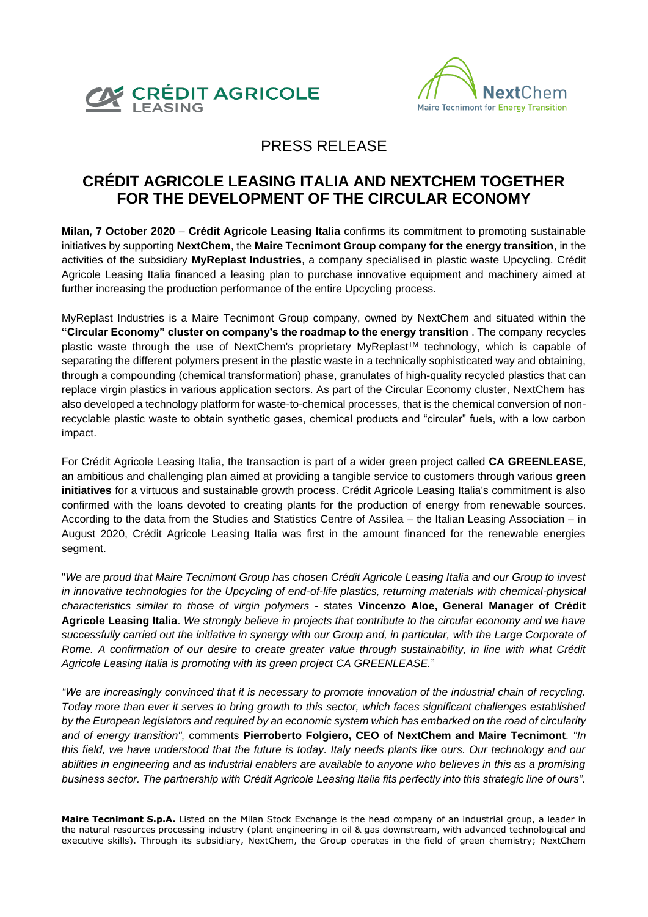



## PRESS RELEASE

## **CRÉDIT AGRICOLE LEASING ITALIA AND NEXTCHEM TOGETHER FOR THE DEVELOPMENT OF THE CIRCULAR ECONOMY**

**Milan, 7 October 2020** – **Crédit Agricole Leasing Italia** confirms its commitment to promoting sustainable initiatives by supporting **NextChem**, the **Maire Tecnimont Group company for the energy transition**, in the activities of the subsidiary **MyReplast Industries**, a company specialised in plastic waste Upcycling. Crédit Agricole Leasing Italia financed a leasing plan to purchase innovative equipment and machinery aimed at further increasing the production performance of the entire Upcycling process.

MyReplast Industries is a Maire Tecnimont Group company, owned by NextChem and situated within the **"Circular Economy" cluster on company's the roadmap to the energy transition** . The company recycles plastic waste through the use of [NextChem's proprietary MyReplast](https://nextchem.it/myreplast-upcycling-ita)™ technology, which is capable of separating the different polymers present in the plastic waste in a technically sophisticated way and obtaining, through a compounding (chemical transformation) phase, granulates of high-quality recycled plastics that can replace virgin plastics in various application sectors. As part of the Circular Economy cluster, NextChem has also developed a technology platform for waste-to-chemical processes, that is the chemical conversion of nonrecyclable plastic waste to obtain synthetic gases, chemical products and "circular" fuels, with a low carbon impact.

For Crédit Agricole Leasing Italia, the transaction is part of a wider green project called **CA GREENLEASE**, an ambitious and challenging plan aimed at providing a tangible service to customers through various **green initiatives** for a virtuous and sustainable growth process. Crédit Agricole Leasing Italia's commitment is also confirmed with the loans devoted to creating plants for the production of energy from renewable sources. According to the data from the Studies and Statistics Centre of Assilea – the Italian Leasing Association – in August 2020, Crédit Agricole Leasing Italia was first in the amount financed for the renewable energies segment.

"*We are proud that Maire Tecnimont Group has chosen Crédit Agricole Leasing Italia and our Group to invest in innovative technologies for the Upcycling of end-of-life plastics, returning materials with chemical-physical characteristics similar to those of virgin polymers* - states **Vincenzo Aloe, General Manager of Crédit Agricole Leasing Italia**. *We strongly believe in projects that contribute to the circular economy and we have successfully carried out the initiative in synergy with our Group and, in particular, with the Large Corporate of Rome. A confirmation of our desire to create greater value through sustainability, in line with what Crédit Agricole Leasing Italia is promoting with its green project CA GREENLEASE.*"

*"We are increasingly convinced that it is necessary to promote innovation of the industrial chain of recycling. Today more than ever it serves to bring growth to this sector, which faces significant challenges established by the European legislators and required by an economic system which has embarked on the road of circularity and of energy transition",* comments **Pierroberto Folgiero, CEO of NextChem and Maire Tecnimont***. "In this field, we have understood that the future is today. Italy needs plants like ours. Our technology and our abilities in engineering and as industrial enablers are available to anyone who believes in this as a promising business sector. The partnership with Crédit Agricole Leasing Italia fits perfectly into this strategic line of ours".*

**Maire Tecnimont S.p.A.** Listed on the Milan Stock Exchange is the head company of an industrial group, a leader in the natural resources processing industry (plant engineering in oil & gas downstream, with advanced technological and executive skills). Through its subsidiary, NextChem, the Group operates in the field of green chemistry; NextChem